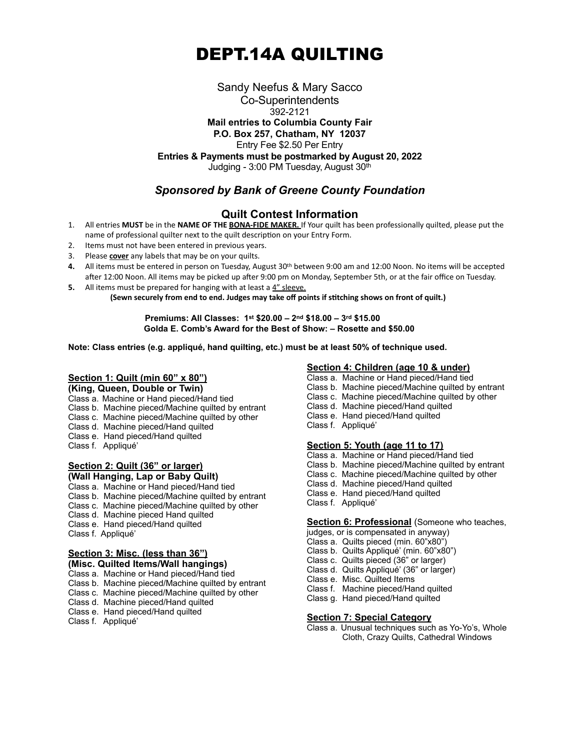# DEPT.14A QUILTING

Sandy Neefus & Mary Sacco Co-Superintendents 392-2121 **Mail entries to Columbia County Fair P.O. Box 257, Chatham, NY 12037** Entry Fee \$2.50 Per Entry **Entries & Payments must be postmarked by August 20, 2022** Judging - 3:00 PM Tuesday, August 30th

# *Sponsored by Bank of Greene County Foundation*

# **Quilt Contest Information**

- 1. All entries **MUST** be in the **NAME OF THE BONA-FIDE MAKER.** If Your quilt has been professionally quilted, please put the name of professional quilter next to the quilt description on your Entry Form.
- 2. Items must not have been entered in previous years.
- 3. Please **cover** any labels that may be on your quilts.
- **4.** All items must be entered in person on Tuesday, August 30th between 9:00 am and 12:00 Noon. No items will be accepted after 12:00 Noon. All items may be picked up after 9:00 pm on Monday, September 5th, or at the fair office on Tuesday.
- **5.** All items must be prepared for hanging with at least a 4" sleeve. **(Sewn securely from end to end. Judges may take off points if stitching shows on front of quilt.)**

 **Premiums: All Classes: 1st \$20.00 – 2nd \$18.00 – 3rd \$15.00 Golda E. Comb's Award for the Best of Show: – Rosette and \$50.00**

**Note: Class entries (e.g. appliqué, hand quilting, etc.) must be at least 50% of technique used.**

## **Section 1: Quilt (min 60" x 80")**

**(King, Queen, Double or Twin)**

Class a. Machine or Hand pieced/Hand tied

- Class b. Machine pieced/Machine quilted by entrant
- Class c. Machine pieced/Machine quilted by other
- Class d. Machine pieced/Hand quilted
- Class e. Hand pieced/Hand quilted
- Class f. Appliqué'

#### **Section 2: Quilt (36" or larger) (Wall Hanging, Lap or Baby Quilt)**

## Class a. Machine or Hand pieced/Hand tied

- Class b. Machine pieced/Machine quilted by entrant
- Class c. Machine pieced/Machine quilted by other
- Class d. Machine pieced Hand quilted
- Class e. Hand pieced/Hand quilted
- Class f. Appliqué'

#### **Section 3: Misc. (less than 36") (Misc. Quilted Items/Wall hangings)**

Class a. Machine or Hand pieced/Hand tied

- Class b. Machine pieced/Machine quilted by entrant
- Class c. Machine pieced/Machine quilted by other
- Class d. Machine pieced/Hand quilted
- Class e. Hand pieced/Hand quilted
- Class f. Appliqué'

## **Section 4: Children (age 10 & under)**

- Class a. Machine or Hand pieced/Hand tied
- Class b. Machine pieced/Machine quilted by entrant
- Class c. Machine pieced/Machine quilted by other
- Class d. Machine pieced/Hand quilted
- Class e. Hand pieced/Hand quilted
- Class f. Appliqué'

### **Section 5: Youth (age 11 to 17)**

- Class a. Machine or Hand pieced/Hand tied
- Class b. Machine pieced/Machine quilted by entrant
- Class c. Machine pieced/Machine quilted by other
- Class d. Machine pieced/Hand quilted
- Class e. Hand pieced/Hand quilted
- Class f. Appliqué'

#### **Section 6: Professional** (Someone who teaches,

- judges, or is compensated in anyway)
- Class a. Quilts pieced (min. 60"x80")
- Class b. Quilts Appliqué' (min. 60"x80")
- Class c. Quilts pieced (36" or larger)
- Class d. Quilts Appliqué' (36" or larger)
- Class e. Misc. Quilted Items
- Class f. Machine pieced/Hand quilted
- Class g. Hand pieced/Hand quilted

### **Section 7: Special Category**

Class a. Unusual techniques such as Yo-Yo's, Whole Cloth, Crazy Quilts, Cathedral Windows